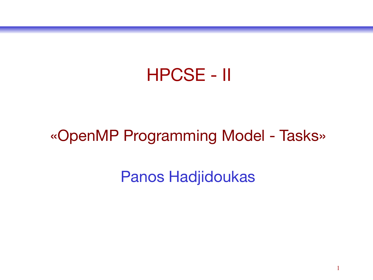#### HPCSE - II

#### «OpenMP Programming Model - Tasks»

Panos Hadjidoukas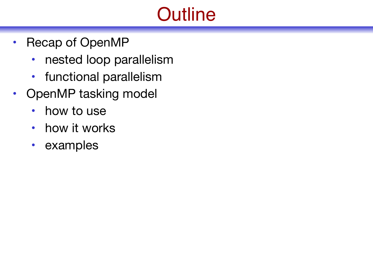# **Outline**

- Recap of OpenMP
	- nested loop parallelism
	- functional parallelism
- OpenMP tasking model
	- how to use
	- how it works
	- examples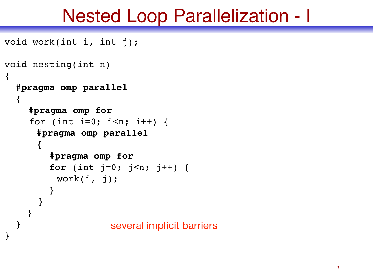## Nested Loop Parallelization - I

```
void work(int i, int j);
void nesting(int n)
\{ #pragma omp parallel
  \{ #pragma omp for
    for (int i=0; i<n; i++) {
     #pragma omp parallel
      \{ #pragma omp for
        for (int j=0; j<n; j++) {
         work(i, j); }
 }
 }
 }
}
                   several implicit barriers
```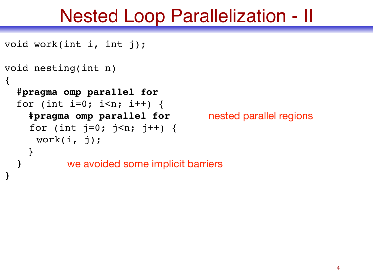## Nested Loop Parallelization - II

```
void work(int i, int j);
void nesting(int n)
\{ #pragma omp parallel for
   for (int i=0; i<n; i++) {
     #pragma omp parallel for
    for (int j=0; j<n; j++) {
     work(i, j);
     }
 }
}
          we avoided some implicit barriers
                                     nested parallel regions
```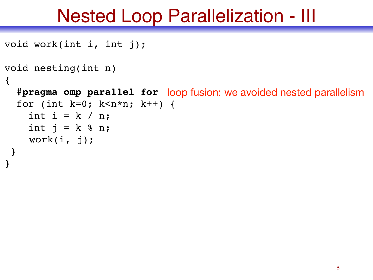# Nested Loop Parallelization - III

```
void work(int i, int j);
void nesting(int n)
\{ #pragma omp parallel for
loop fusion: we avoided nested parallelism for (int k=0; k<n*n; k++) {
    int i = k / n;
    int j = k & n;
     work(i, j);
 }
```
}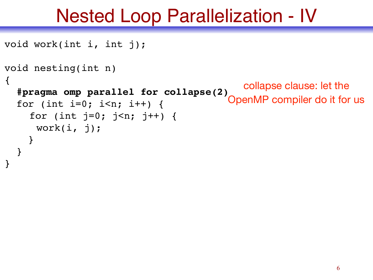# Nested Loop Parallelization - IV

```
void work(int i, int j);
void nesting(int n)
\{ #pragma omp parallel for collapse(2)
   for (int i=0; i<n; i++) {
    for (int j=0; j<n; j++) {
     work(i, j);
     }
 }
}
                                             collapse clause: let the 
                                          OpenMP compiler do it for us
```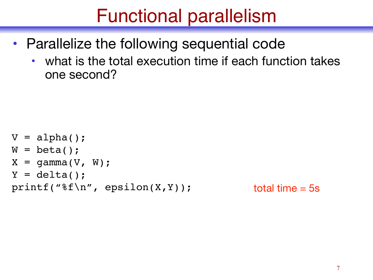# Functional parallelism

- Parallelize the following sequential code
	- what is the total execution time if each function takes one second?

```
V = alpha();
W = \text{beta}();
X = \text{gamma}(V, W);Y = delta();
printf("%f\n", epsilon(X,Y));
```

```
total time = 5s
```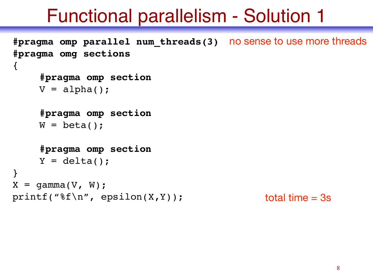# Functional parallelism - Solution 1

```
#pragma omp parallel num_threads(3)
no sense to use more threads
#pragma omg sections
\{#pragma omp section
     V = alpha();
     #pragma omp section
     W = \text{beta}();
     #pragma omp section
     Y = delta();
}
X = \text{gamma}(V, W);printf("%f\n", epsilon(X,Y));total time = 3s
```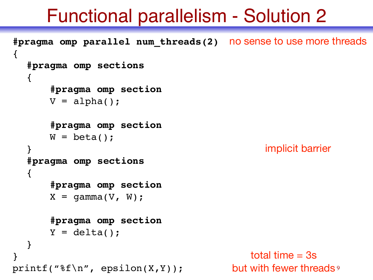## Functional parallelism - Solution 2

```
but with fewer threads<sup>9</sup>
#pragma omp parallel num_threads(2)
no sense to use more threads
{
  #pragma omp sections
   \{#pragma omp section
       V = alpha();
       #pragma omp section
       W = \text{beta}();
  }
  #pragma omp sections
   {
       #pragma omp section
       X = \text{gamma}(V, W);#pragma omp section
       Y = delta() ;
   }
}
print(f("%f\n', epsilon(X,Y));implicit barrier
                                                total time = 3s
```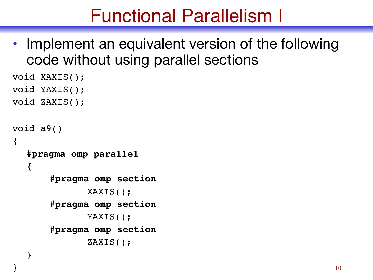# Functional Parallelism I

• Implement an equivalent version of the following code without using parallel sections

```
void XAXIS();
void YAXIS();
void ZAXIS();
void a9()
\{#pragma omp parallel
  \{#pragma omp section
              XAXIS();
       #pragma omp section
              YAXIS();
       #pragma omp section
              ZAXIS();
   }
```
}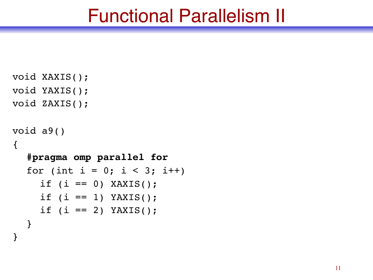#### Functional Parallelism II

```
void XAXIS();
void YAXIS();
void ZAXIS();
void a9()
\{#pragma omp parallel for
  for (int i = 0; i < 3; i++)
     if (i == 0) XAXIS(i);
     if (i == 1) YAXIS(i);
     if (i == 2) YAXIS(i);
  }
```
}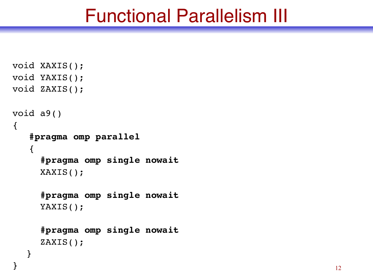#### Functional Parallelism III

```
void XAXIS();
void YAXIS();
void ZAXIS();
void a9()
\{ #pragma omp parallel
    {
      #pragma omp single nowait
      XAXIS();
      #pragma omp single nowait
      YAXIS();
      #pragma omp single nowait
      ZAXIS();
   }
```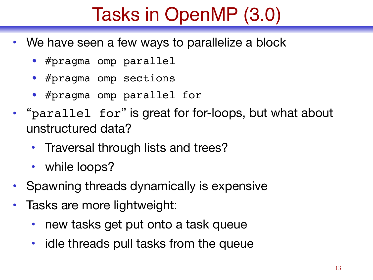# Tasks in OpenMP (3.0)

- We have seen a few ways to parallelize a block
	- #pragma omp parallel
	- #pragma omp sections
	- #pragma omp parallel for
- "parallel for" is great for for-loops, but what about unstructured data?
	- Traversal through lists and trees?
	- while loops?
- Spawning threads dynamically is expensive
- Tasks are more lightweight:
	- new tasks get put onto a task queue
	- idle threads pull tasks from the queue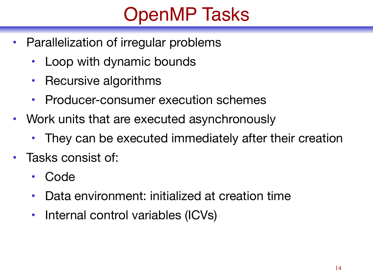# OpenMP Tasks

- Parallelization of irregular problems
	- Loop with dynamic bounds
	- Recursive algorithms
	- Producer-consumer execution schemes
- Work units that are executed asynchronously
	- They can be executed immediately after their creation
- Tasks consist of:
	- Code
	- Data environment: initialized at creation time
	- Internal control variables (ICVs)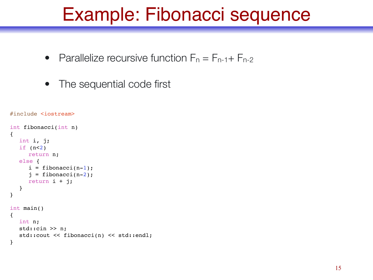- Parallelize recursive function  $F_n = F_{n-1} + F_{n-2}$
- The sequential code first

```
#include <iostream>
int fibonacci(int n)
{
  int i, j;
  if (n<2)return n;
  else {
      i = \text{fibonacci}(n-1);j = \text{fibonacci}(n-2);return i + j;
   }
}
int main()
{
  int n;
  std::cin >> n;
  std::cout << fibonacci(n) << std::endl;
}
```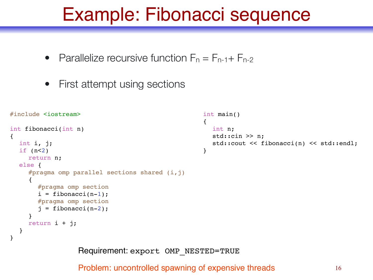- Parallelize recursive function  $F_n = F_{n-1} + F_{n-2}$
- First attempt using sections

}

}

```
#include <iostream>
int fibonacci(int n)
{
  int i, j;
  if (n<2)return n;
  else {
     #pragma omp parallel sections shared (i, j){
        #pragma omp section
        i = \text{fibonacci}(n-1);#pragma omp section
        j = \text{fibonacci}(n-2);}
     return i + j;
                                                        int main()
                                                         {
                                                           int n;
                                                           std::cin >> n;
                                                           std::cout << fibonacci(n) << std::endl;
                                                        }
```
Requirement: export OMP\_NESTED=TRUE

Problem: uncontrolled spawning of expensive threads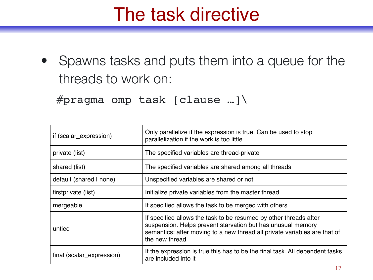# The task directive

• Spawns tasks and puts them into a queue for the threads to work on:

```
#pragma omp task [clause …]\
```

| if (scalar_expression)    | Only parallelize if the expression is true. Can be used to stop<br>parallelization if the work is too little                                                                                                                    |
|---------------------------|---------------------------------------------------------------------------------------------------------------------------------------------------------------------------------------------------------------------------------|
| private (list)            | The specified variables are thread-private                                                                                                                                                                                      |
| shared (list)             | The specified variables are shared among all threads                                                                                                                                                                            |
| default (shared I none)   | Unspecified variables are shared or not                                                                                                                                                                                         |
| firstprivate (list)       | Initialize private variables from the master thread                                                                                                                                                                             |
| mergeable                 | If specified allows the task to be merged with others                                                                                                                                                                           |
| untied                    | If specified allows the task to be resumed by other threads after<br>suspension. Helps prevent starvation but has unusual memory<br>semantics: after moving to a new thread all private variables are that of<br>the new thread |
| final (scalar_expression) | If the expression is true this has to be the final task. All dependent tasks<br>are included into it                                                                                                                            |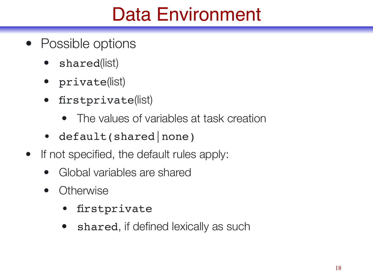# Data Environment

- Possible options
	- shared(list)
	- private(list)
	- firstprivate(list)
		- The values of variables at task creation
	- default(shared | none)
- If not specified, the default rules apply:
	- Global variables are shared
	- Otherwise
		- firstprivate
		- shared, if defined lexically as such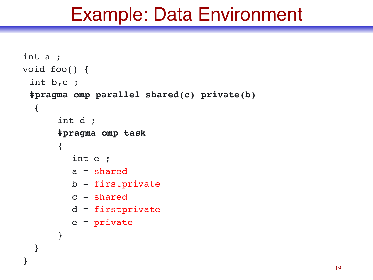#### Example: Data Environment

```
int a ;
void foo() {
 int b,c ;
 #pragma omp parallel shared(c) private(b)
  \{int d ;
      #pragma omp task
       {
         int e ;
         a = shared
         b = firstprivate
         c = sharedd = firstprivate
         e = private
       }
   }
}
```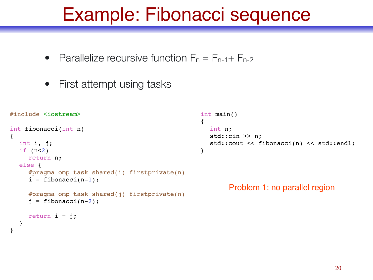- Parallelize recursive function  $F_n = F_{n-1} + F_{n-2}$
- First attempt using tasks

}

}

```
#include <iostream>
int fibonacci(int n)
{
  int i, j;
  if (n<2)return n;
  else {
     #pragma omp task shared(i) firstprivate(n)
     i = fibonacci(n-1);#pragma omp task shared(j) firstprivate(n)
     j = fibonacci(n-2);
     return i + j;
                                                       int main()
                                                       \left\{ \right.int n;
                                                          std::cin >> n;
                                                          std::cout << fibonacci(n) << std::endl;
                                                       }
                                                               Problem 1: no parallel region
```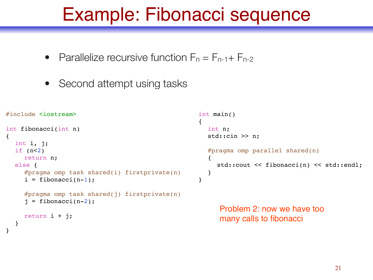- Parallelize recursive function  $F_n = F_{n-1} + F_{n-2}$
- Second attempt using tasks

}

```
#include <iostream>
int fibonacci(int n)
{
  int i, j;
  if (n<2)return n;
  else {
     #pragma omp task shared(i) firstprivate(n)
     i = fibonacci(n-1);#pragma omp task shared(j) firstprivate(n)
     j = fibonacci(n-2);
     return i + j;
  }
                                                      int main()
                                                      {
                                                        int n;
                                                        std::cin >> n;
                                                        #pragma omp parallel shared(n)
                                                        {
                                                           std::cout << fibonacci(n) << std::endl;
                                                        }
                                                      }
                                                            Problem 2: now we have too 
                                                           many calls to fibonacci
```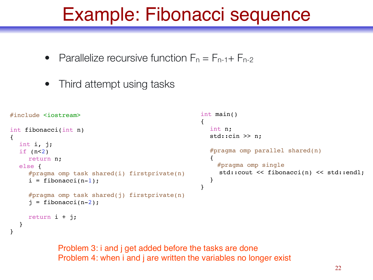- Parallelize recursive function  $F_n = F_{n-1} + F_{n-2}$
- Third attempt using tasks

}

```
#include <iostream>
int fibonacci(int n)
{
  int i, j;
  if (n<2)return n;
  else {
     #pragma omp task shared(i) firstprivate(n)
     i = \text{fibonacci}(n-1);#pragma omp task shared(j) firstprivate(n)
     j = \text{fibonacci}(n-2);
     return i + j;
   }
                                                       int main()
                                                        {
                                                          int n;
                                                          std::cin >> n;
                                                          #pragma omp parallel shared(n)
                                                          {
                                                             #pragma omp single
                                                             std::cout << fibonacci(n) << std::endl;
                                                          }
                                                        }
```
Problem 3: i and j get added before the tasks are done Problem 4: when i and j are written the variables no longer exist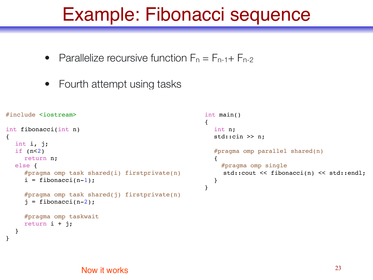- Parallelize recursive function  $F_n = F_{n-1} + F_{n-2}$
- Fourth attempt using tasks

```
#include <iostream>
int fibonacci(int n)
{
  int i, j;
  if (n<2)return n;
  else {
     #pragma omp task shared(i) firstprivate(n)
     i = \text{fibonacci}(n-1);#pragma omp task shared(j) firstprivate(n)
     j = \text{fibonacci}(n-2);#pragma omp taskwait
     return i + j;
   }
                                                          int main()
                                                          {
                                                             int n;
                                                             std::cin >> n;
                                                            #pragma omp parallel shared(n)
                                                             {
                                                                #pragma omp single
                                                               std::cout << fibonacci(n) << std::endl;
                                                             }
                                                          }
```
}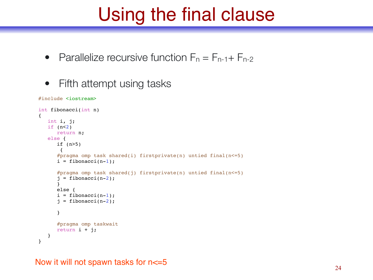# Using the final clause

- Parallelize recursive function  $F_n = F_{n-1} + F_{n-2}$
- Fifth attempt using tasks

```
#include <iostream>
```

```
int fibonacci(int n)
{
  int i, j;
   if (n<2)return n;
   else {
       if (n>5)
        {
      #pragma omp task shared(i) firstprivate(n) untied final(n \leq 5)
      i = fibonacci(n-1);#pragma omp task shared(j) firstprivate(n) untied final(n \leq 5)
      j = fibonacci(n-2);
      }
      else {
      i = fibonacci(n-1);i = fibonacci(n-2);
      }
      #pragma omp taskwait
      return i + j;
   }
}
```
Now it will not spawn tasks for  $n \leq -5$  24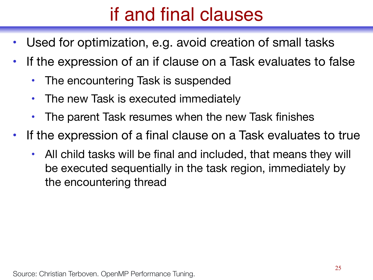# if and final clauses

- Used for optimization, e.g. avoid creation of small tasks
- If the expression of an if clause on a Task evaluates to false
	- The encountering Task is suspended
	- The new Task is executed immediately
	- The parent Task resumes when the new Task finishes
- If the expression of a final clause on a Task evaluates to true
	- All child tasks will be final and included, that means they will be executed sequentially in the task region, immediately by the encountering thread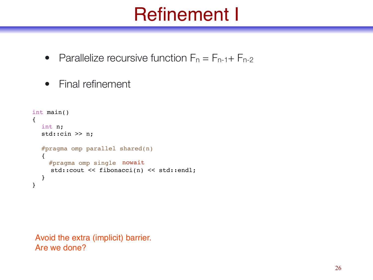# Refinement I

• Parallelize recursive function  $F_n = F_{n-1} + F_{n-2}$ 

```
• Final refinement
```

```
int main()
{
  int n;
  std::cin >> n;
  #pragma omp parallel shared(n)
  \left\{ \right. #pragma omp single
nowait
     std::cout << fibonacci(n) << std::endl;
  }
}
```
Avoid the extra (implicit) barrier. Are we done?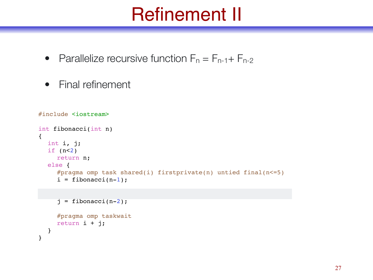# Refinement II

- Parallelize recursive function  $F_n = F_{n-1} + F_{n-2}$
- Final refinement

```
#include <iostream>
int fibonacci(int n)
{
  int i, j;
  if (n<2)return n;
  else {
     #pragma omp task shared(i) firstprivate(n) untied final(n<=5)
     i = fibonacci(n-1);
```

```
j = \text{fibonacci}(n-2);#pragma omp taskwait
return i + j;
```
}

}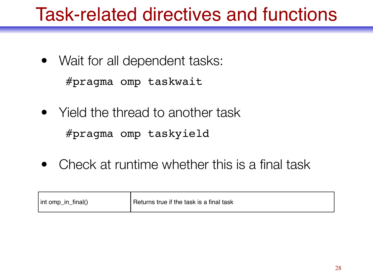# Task-related directives and functions

• Wait for all dependent tasks:

#pragma omp taskwait

- Yield the thread to another task #pragma omp taskyield
- Check at runtime whether this is a final task

| int omp_in_<br>final() | Returns true if the task is a final task |
|------------------------|------------------------------------------|
|------------------------|------------------------------------------|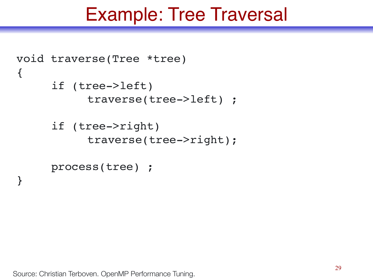## Example: Tree Traversal

```
void traverse(Tree *tree)
{
     if (tree->left)
           traverse(tree->left) ;
     if (tree->right)
           traverse(tree->right);
     process(tree) ;
}
```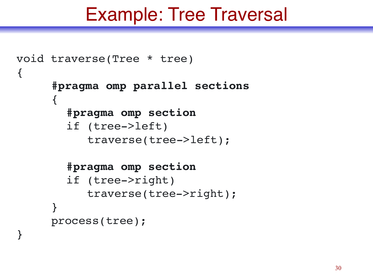## Example: Tree Traversal

```
void traverse(Tree * tree)
{
     #pragma omp parallel sections
     \{#pragma omp section
       if (tree->left)
           traverse(tree->left);
       #pragma omp section
       if (tree->right)
           traverse(tree->right);
     }
     process(tree);
```
}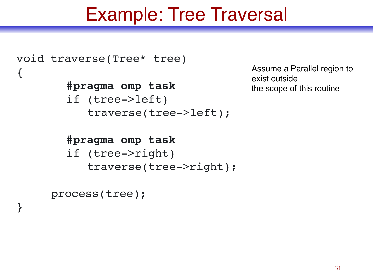# Example: Tree Traversal

```
void traverse(Tree* tree)
{
       #pragma omp task
       if (tree->left)
           traverse(tree->left);
```
Assume a Parallel region to exist outside the scope of this routine

```
#pragma omp task
if (tree->right)
   traverse(tree->right);
```

```
process(tree);
```
}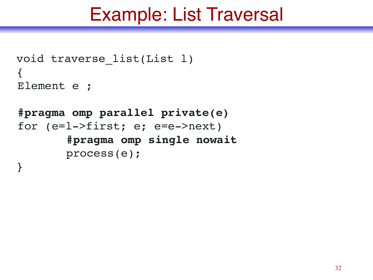```
void traverse_list(List l)
{
Element e ;
```

```
#pragma omp parallel private(e)
for (e=l->first; e; e=e->next)
       #pragma omp single nowait
       process(e);
}
```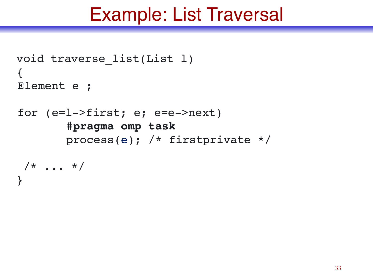```
void traverse_list(List l)
{
Element e ;
for (e=l->first; e; e=e->next)
       #pragma omp task
       process(e); /* firstprivate */
/* \t ... *}
```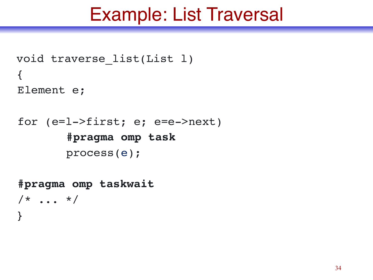```
void traverse_list(List l)
\{Element e;
```

```
for (e=l->first; e; e=e->next)
       #pragma omp task
       process(e);
```
**#pragma omp taskwait**  $/* \t ... *$ }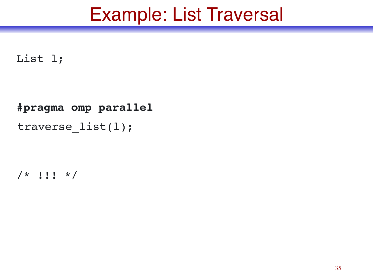#### List l;

```
#pragma omp parallel
traverse_list(l);
```

```
/* !!! */
```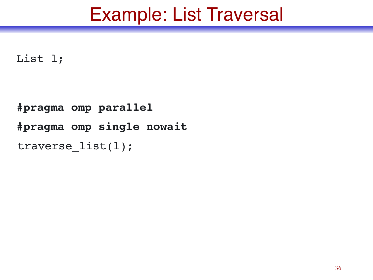List l;

```
#pragma omp parallel
#pragma omp single nowait
traverse_list(l);
```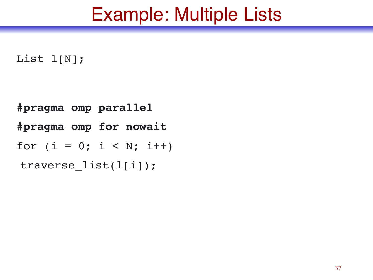## Example: Multiple Lists

#### List l[N];

```
#pragma omp parallel
#pragma omp for nowait
for (i = 0; i < N; i++)traverse_list(l[i]);
```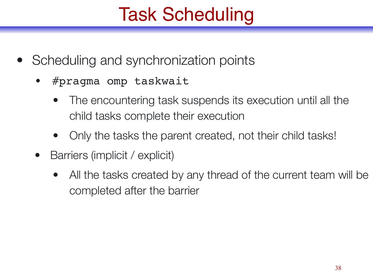# Task Scheduling

- Scheduling and synchronization points
	- #pragma omp taskwait
		- The encountering task suspends its execution until all the child tasks complete their execution
		- Only the tasks the parent created, not their child tasks!
	- Barriers (implicit / explicit)
		- All the tasks created by any thread of the current team will be completed after the barrier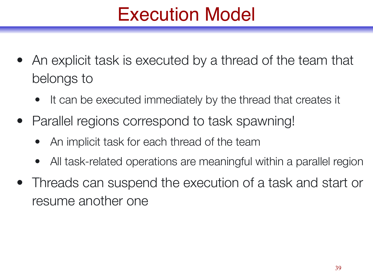# Execution Model

- An explicit task is executed by a thread of the team that belongs to
	- It can be executed immediately by the thread that creates it
- Parallel regions correspond to task spawning!
	- An implicit task for each thread of the team
	- All task-related operations are meaningful within a parallel region
- Threads can suspend the execution of a task and start or resume another one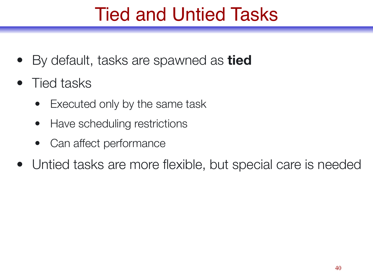# Tied and Untied Tasks

- By default, tasks are spawned as **tied**
- Tied tasks
	- Executed only by the same task
	- Have scheduling restrictions
	- Can affect performance
- Untied tasks are more flexible, but special care is needed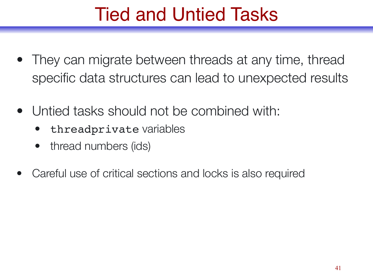# Tied and Untied Tasks

- They can migrate between threads at any time, thread specific data structures can lead to unexpected results
- Untied tasks should not be combined with:
	- threadprivate variables
	- thread numbers (ids)
- Careful use of critical sections and locks is also required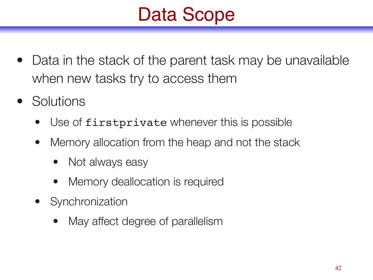# Data Scope

- Data in the stack of the parent task may be unavailable when new tasks try to access them
- **Solutions** 
	- Use of firstprivate whenever this is possible
	- Memory allocation from the heap and not the stack
		- Not always easy
		- Memory deallocation is required
	- Synchronization
		- May affect degree of parallelism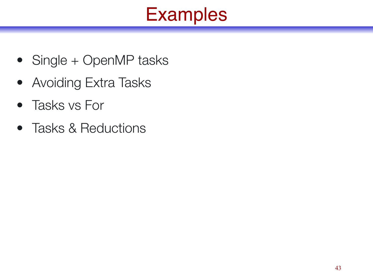# Examples

- Single + OpenMP tasks
- Avoiding Extra Tasks
- Tasks vs For
- Tasks & Reductions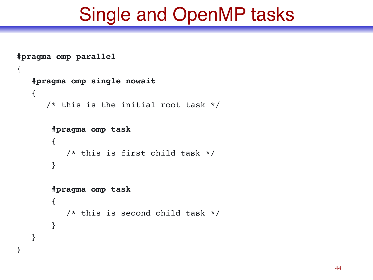# Single and OpenMP tasks

```
#pragma omp parallel
{
    #pragma omp single nowait
    {
       /* this is the initial root task */
        #pragma omp task
        {
            /* this is first child task */
         }
        #pragma omp task
         {
            /* this is second child task */
         }
    }
}
```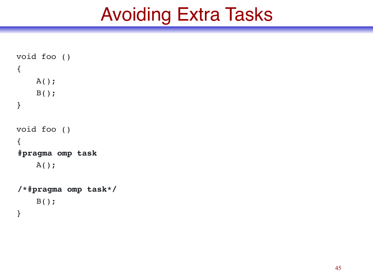# Avoiding Extra Tasks

```
void foo ()
{
     A();
     B();
}
void foo ()
{
#pragma omp task
    A() ;
/*#pragma omp task*/
     B();
}
```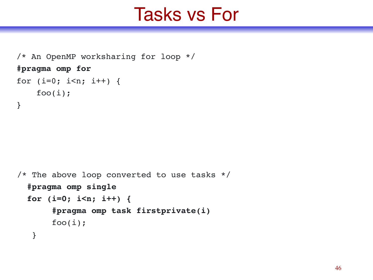## Tasks vs For

```
/* An OpenMP worksharing for loop */
#pragma omp for
for (i=0; i< n; i++) {
    foo(i);}
```

```
/* The above loop converted to use tasks */
   #pragma omp single
   for (i=0; i<n; i++) {
        #pragma omp task firstprivate(i)
       foo(i); }
```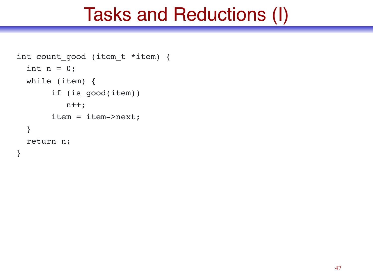## Tasks and Reductions (I)

```
int count_good (item_t *item) {
  int n = 0;
   while (item) {
        if (is_good(item))
          n++; item = item->next;
   }
   return n;
}
```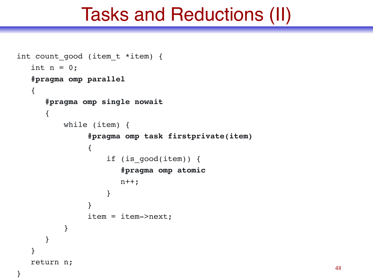## Tasks and Reductions (II)

```
int count good (item t *item) {
  int n = 0;
   #pragma omp parallel
  \{ #pragma omp single nowait
      {
         while (item) {
              #pragma omp task firstprivate(item)
\{ if (is_good(item)) {
                    #pragma omp atomic
                   n++; }
 }
              item = item->next;
 }
 }
   }
   return n;
```
}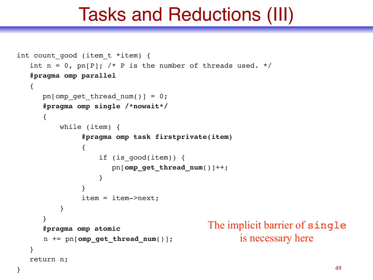### Tasks and Reductions (III)

```
int count good (item t *item) {
  int n = 0, pn[P]; /* P is the number of threads used. */
   #pragma omp parallel
   {
     pn[omp qet thread num()] = 0;
      #pragma omp single /*nowait*/
\{ while (item) {
              #pragma omp task firstprivate(item)
 {
                  if (is_good(item)) {
                     pn[omp_get_thread_num()]++;
 }
 }
              item = item->next;
 }
 }
      #pragma omp atomic
      n += pn[omp_get_thread_num()];
   }
   return n;
                                        The implicit barrier of single
                                               is necessary here
```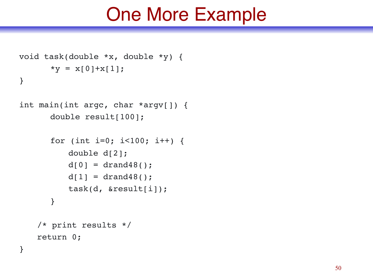### One More Example

```
void task(double *x, double *y) {
      *y = x[0]+x[1];}
```

```
int main(int argc, char *argv[]) {
      double result[100];
```

```
for (int i=0; i<100; i++) {
   double d[2];
   d[0] = dr and 48();
   d[1] = dr and 48();
   task(d, &result[i]);
}
```

```
/* print results */
return 0;
```
}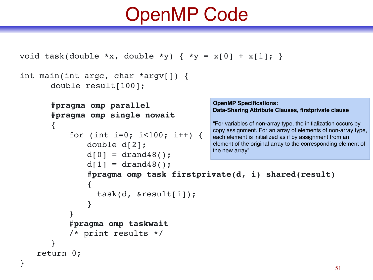# OpenMP Code

```
void task(double *x, double *y) { *y = x[0] + x[1]; }
int main(int argc, char *argv[]) {
        double result[100];
        #pragma omp parallel
        #pragma omp single nowait
        \{for (int i=0; i<100; i++) {
                  double d[2];
                  d[0] = drand48();
                  d[1] = drand48();
                  #pragma omp task firstprivate(d, i) shared(result)
                  {
                      task(d, &result[i]);
                  }
             }
             #pragma omp taskwait
             /* print results */
        }
    return 0;
}
                                                    OpenMP Specifications: 
                                                    Data-Sharing Attribute Clauses, firstprivate clause
                                                    "For variables of non-array type, the initialization occurs by 
                                                    copy assignment. For an array of elements of non-array type, 
                                                    each element is initialized as if by assignment from an 
                                                    element of the original array to the corresponding element of 
                                                    the new array"
```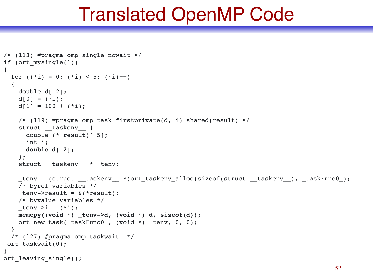### Translated OpenMP Code

```
/* (l13) #pragma omp single nowait */
if (ort_mysingle(1))
{
  for ((*i) = 0; (*i) < 5; (*i)++)
   {
     double d[ 2];
   d[0] = (*i);d[1] = 100 + (*i); /* (l19) #pragma omp task firstprivate(d, i) shared(result) */
    struct taskenv {
      double (* result)[ 5];
      int i;
      double d[ 2];
     };
    struct __taskenv__ * _tenv;
    tenv = (struct taskenv *)ort taskenv alloc(sizeof(struct _taskenv _), _taskFunc0_);
    /* byref variables */
   tenv->result = \&(*result); /* byvalue variables */
   tenv->i = (*i); memcpy((void *) _tenv->d, (void *) d, sizeof(d));
    ort new task( taskFunc0, (void *) + tenv, 0, 0); }
   /* (l27) #pragma omp taskwait */
ort taskwait(0);
}
ort leaving single();
```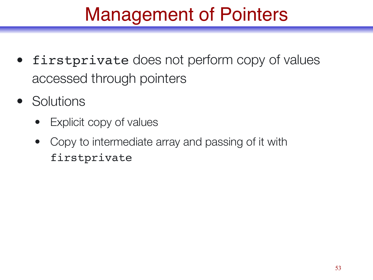# Management of Pointers

- firstprivate does not perform copy of values accessed through pointers
- Solutions
	- Explicit copy of values
	- Copy to intermediate array and passing of it with firstprivate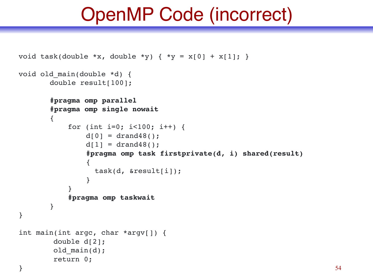# OpenMP Code (incorrect)

```
void task(double *x, double *y) { *y = x[0] + x[1]; }
void old main(double *d) {
       double result[100];
       #pragma omp parallel
       #pragma omp single nowait
       {
            for (int i=0; i<100; i++) {
                d[0] = drand48();
                d[1] = drand48();
                #pragma omp task firstprivate(d, i) shared(result)
                {
                   task(d, &result[i]);
                }
            }
            #pragma omp taskwait
       }
}
int main(int argc, char *argv[]) {
         double d[2];
        old main(d);
         return 0;
```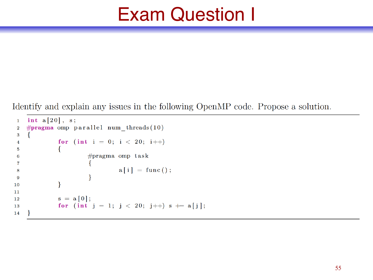# Exam Question I

Identify and explain any issues in the following OpenMP code. Propose a solution.

```
int a[20], s;\mathbf{1}#pragma omp parallel num_threads(10)
 \overline{2}\{3
                 for (int i = 0; i < 20; i++)
 \overline{\mathbf{4}}\{\overline{5}#pragma omp task
 6
 \overline{7}a[i] = func();8
                             \mathcal{F}9
                 \mathcal{E}10
11
                 s = a[0];12
                 for (int' j = 1; j < 20; j++) s += a[j];13
14
```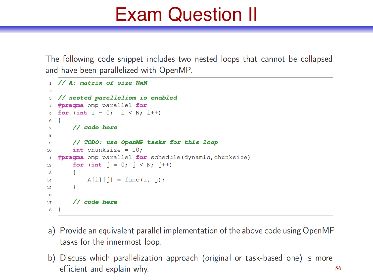# Exam Question II

The following code snippet includes two nested loops that cannot be collapsed and have been parallelized with OpenMP.

```
// A: matrix of size NxN
 1<sup>1</sup>\mathbf{a}// nested parallelism is enabled
\mathbf{3}#pragma omp parallel for
   for (int i = 0; i < N; i++)\overline{f}6
         \frac{1}{\cos \theta} code here
\overline{7}8
         // TODO: use OpenMP tasks for this loop
9
         int chunksize = 10;10
    #pragma omp parallel for schedule (dynamic, chunksize)
11
         for (int j = 0; j < N; j+1)
12
13
         \overline{f}A[i][j] = func(i, j);14
         \mathcal{F}15
16
         // code here
17
18
   \rightarrow
```
- a) Provide an equivalent parallel implementation of the above code using OpenMP tasks for the innermost loop.
- b) Discuss which parallelization approach (original or task-based one) is more efficient and explain why. 56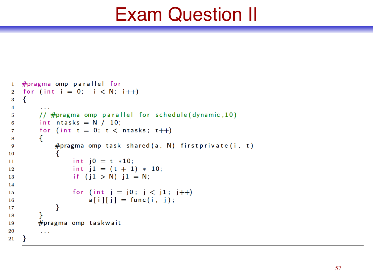# Exam Question II

```
#pragma omp parallel for
 \mathbf{1}for (int i = 0; i < N; i++)
 \overline{\bf 2}\{3
 4
         // #pragma omp parallel for schedule (dynamic, 10)
 5
         int ntasks = N / 10;
 6
         for (int t = 0; t < ntasks; t++)
 7
         ſ
 8
              #pragma omp task shared (a, N) firstprivate (i, t)9
              ₹
10
                   int j0 = t * 10;
11
                   int j1 = (t + 1) * 10;
12
                    if (j1 > N) j1 = N;
13
14
                    for (int j = j0; j < j1; j++)15
                        a[i][j] = func(i, j);16
              ł
17
18
         #pragma omp taskwait
19
20
          \mathbf{r} \cdot \mathbf{r} , \mathbf{r}21
    <sup>}</sup>
```